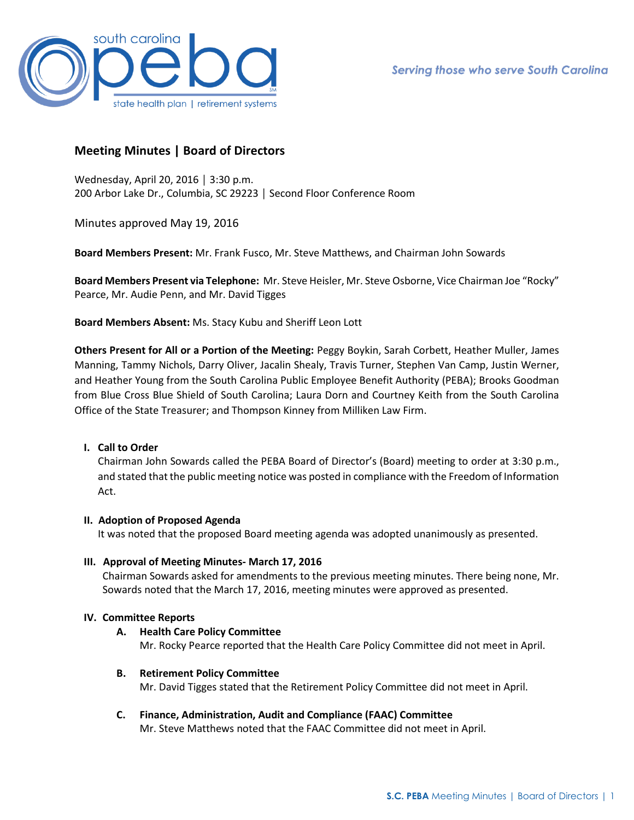

# **Meeting Minutes | Board of Directors**

Wednesday, April 20, 2016 │ 3:30 p.m. 200 Arbor Lake Dr., Columbia, SC 29223 │ Second Floor Conference Room

Minutes approved May 19, 2016

**Board Members Present:** Mr. Frank Fusco, Mr. Steve Matthews, and Chairman John Sowards

**Board Members Present via Telephone:** Mr. Steve Heisler, Mr. Steve Osborne, Vice Chairman Joe "Rocky" Pearce, Mr. Audie Penn, and Mr. David Tigges

**Board Members Absent:** Ms. Stacy Kubu and Sheriff Leon Lott

**Others Present for All or a Portion of the Meeting:** Peggy Boykin, Sarah Corbett, Heather Muller, James Manning, Tammy Nichols, Darry Oliver, Jacalin Shealy, Travis Turner, Stephen Van Camp, Justin Werner, and Heather Young from the South Carolina Public Employee Benefit Authority (PEBA); Brooks Goodman from Blue Cross Blue Shield of South Carolina; Laura Dorn and Courtney Keith from the South Carolina Office of the State Treasurer; and Thompson Kinney from Milliken Law Firm.

#### **I. Call to Order**

Chairman John Sowards called the PEBA Board of Director's (Board) meeting to order at 3:30 p.m., and stated that the public meeting notice was posted in compliance with the Freedom of Information Act.

#### **II. Adoption of Proposed Agenda**

It was noted that the proposed Board meeting agenda was adopted unanimously as presented.

#### **III. Approval of Meeting Minutes- March 17, 2016**

Chairman Sowards asked for amendments to the previous meeting minutes. There being none, Mr. Sowards noted that the March 17, 2016, meeting minutes were approved as presented.

#### **IV. Committee Reports**

#### **A. Health Care Policy Committee**

Mr. Rocky Pearce reported that the Health Care Policy Committee did not meet in April.

#### **B. Retirement Policy Committee**

Mr. David Tigges stated that the Retirement Policy Committee did not meet in April.

#### **C. Finance, Administration, Audit and Compliance (FAAC) Committee**

Mr. Steve Matthews noted that the FAAC Committee did not meet in April.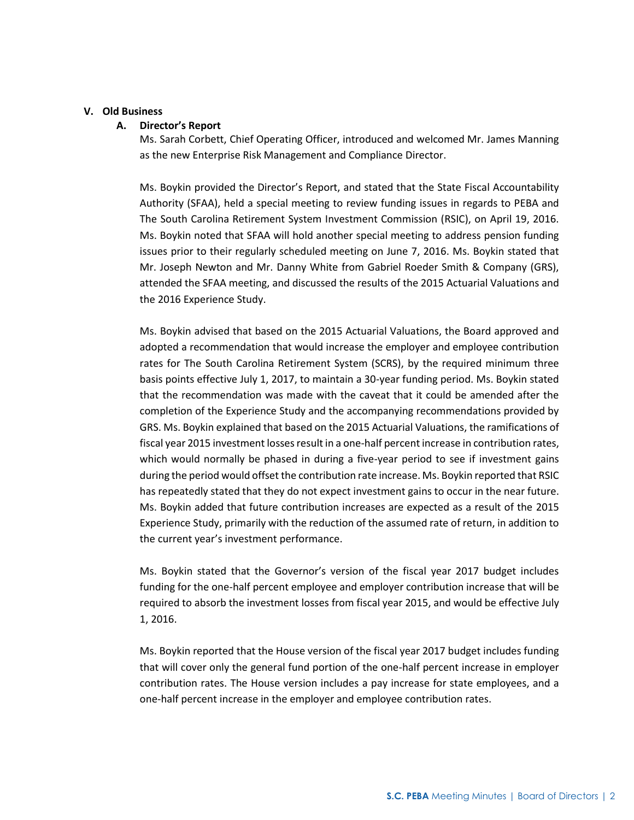#### **V. Old Business**

### **A. Director's Report**

Ms. Sarah Corbett, Chief Operating Officer, introduced and welcomed Mr. James Manning as the new Enterprise Risk Management and Compliance Director.

Ms. Boykin provided the Director's Report, and stated that the State Fiscal Accountability Authority (SFAA), held a special meeting to review funding issues in regards to PEBA and The South Carolina Retirement System Investment Commission (RSIC), on April 19, 2016. Ms. Boykin noted that SFAA will hold another special meeting to address pension funding issues prior to their regularly scheduled meeting on June 7, 2016. Ms. Boykin stated that Mr. Joseph Newton and Mr. Danny White from Gabriel Roeder Smith & Company (GRS), attended the SFAA meeting, and discussed the results of the 2015 Actuarial Valuations and the 2016 Experience Study.

Ms. Boykin advised that based on the 2015 Actuarial Valuations, the Board approved and adopted a recommendation that would increase the employer and employee contribution rates for The South Carolina Retirement System (SCRS), by the required minimum three basis points effective July 1, 2017, to maintain a 30-year funding period. Ms. Boykin stated that the recommendation was made with the caveat that it could be amended after the completion of the Experience Study and the accompanying recommendations provided by GRS. Ms. Boykin explained that based on the 2015 Actuarial Valuations, the ramifications of fiscal year 2015 investment losses result in a one-half percent increase in contribution rates, which would normally be phased in during a five-year period to see if investment gains during the period would offset the contribution rate increase. Ms. Boykin reported that RSIC has repeatedly stated that they do not expect investment gains to occur in the near future. Ms. Boykin added that future contribution increases are expected as a result of the 2015 Experience Study, primarily with the reduction of the assumed rate of return, in addition to the current year's investment performance.

Ms. Boykin stated that the Governor's version of the fiscal year 2017 budget includes funding for the one-half percent employee and employer contribution increase that will be required to absorb the investment losses from fiscal year 2015, and would be effective July 1, 2016.

Ms. Boykin reported that the House version of the fiscal year 2017 budget includes funding that will cover only the general fund portion of the one-half percent increase in employer contribution rates. The House version includes a pay increase for state employees, and a one-half percent increase in the employer and employee contribution rates.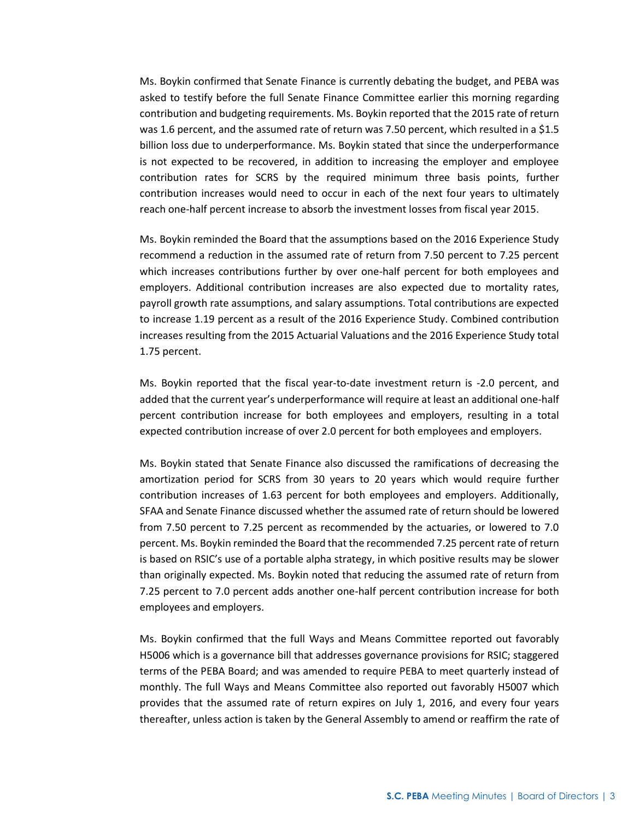Ms. Boykin confirmed that Senate Finance is currently debating the budget, and PEBA was asked to testify before the full Senate Finance Committee earlier this morning regarding contribution and budgeting requirements. Ms. Boykin reported that the 2015 rate of return was 1.6 percent, and the assumed rate of return was 7.50 percent, which resulted in a \$1.5 billion loss due to underperformance. Ms. Boykin stated that since the underperformance is not expected to be recovered, in addition to increasing the employer and employee contribution rates for SCRS by the required minimum three basis points, further contribution increases would need to occur in each of the next four years to ultimately reach one-half percent increase to absorb the investment losses from fiscal year 2015.

Ms. Boykin reminded the Board that the assumptions based on the 2016 Experience Study recommend a reduction in the assumed rate of return from 7.50 percent to 7.25 percent which increases contributions further by over one-half percent for both employees and employers. Additional contribution increases are also expected due to mortality rates, payroll growth rate assumptions, and salary assumptions. Total contributions are expected to increase 1.19 percent as a result of the 2016 Experience Study. Combined contribution increases resulting from the 2015 Actuarial Valuations and the 2016 Experience Study total 1.75 percent.

Ms. Boykin reported that the fiscal year-to-date investment return is -2.0 percent, and added that the current year's underperformance will require at least an additional one-half percent contribution increase for both employees and employers, resulting in a total expected contribution increase of over 2.0 percent for both employees and employers.

Ms. Boykin stated that Senate Finance also discussed the ramifications of decreasing the amortization period for SCRS from 30 years to 20 years which would require further contribution increases of 1.63 percent for both employees and employers. Additionally, SFAA and Senate Finance discussed whether the assumed rate of return should be lowered from 7.50 percent to 7.25 percent as recommended by the actuaries, or lowered to 7.0 percent. Ms. Boykin reminded the Board that the recommended 7.25 percent rate of return is based on RSIC's use of a portable alpha strategy, in which positive results may be slower than originally expected. Ms. Boykin noted that reducing the assumed rate of return from 7.25 percent to 7.0 percent adds another one-half percent contribution increase for both employees and employers.

Ms. Boykin confirmed that the full Ways and Means Committee reported out favorably H5006 which is a governance bill that addresses governance provisions for RSIC; staggered terms of the PEBA Board; and was amended to require PEBA to meet quarterly instead of monthly. The full Ways and Means Committee also reported out favorably H5007 which provides that the assumed rate of return expires on July 1, 2016, and every four years thereafter, unless action is taken by the General Assembly to amend or reaffirm the rate of